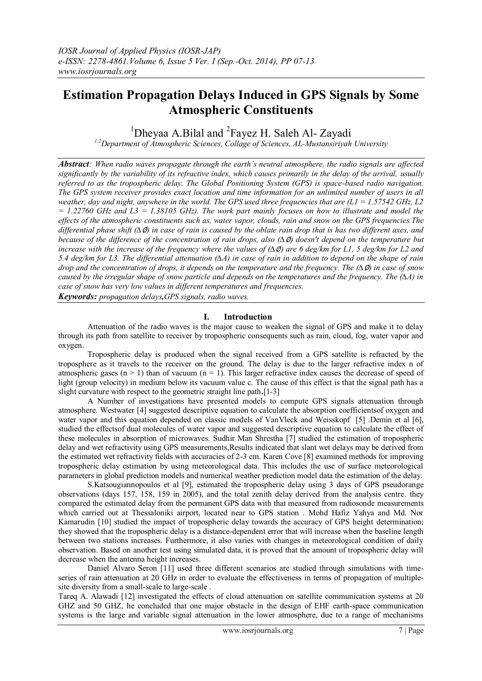# **Estimation Propagation Delays Induced in GPS Signals by Some Atmospheric Constituents**

<sup>1</sup>Dheyaa A.Bilal and <sup>2</sup>Fayez H. Saleh Al- Zayadi

*1,2Department of Atmospheric Sciences, Collage of Sciences, AL-Mustansiriyah University*

*Abstract: When radio waves propagate through the earth's neutral atmosphere, the radio signals are affected significantly by the variability of its refractive index, which causes primarily in the delay of the arrival, usually referred to as the tropospheric delay. The Global Positioning System (GPS) is space-based radio navigation. The GPS system receiver provides exact location and time information for an unlimited number of users in all weather, day and night, anywhere in the world. The GPS used three frequencies that are (L1 = 1.57542 GHz, L2*   $= 1.22760$  GHz and  $L3 = 1.38105$  GHz). The work part mainly focuses on how to illustrate and model the *effects of the atmospheric constituents such as, water vapor, clouds, rain and snow on the GPS frequencies.The differential phase shift (∆*∅*) in case of rain is caused by the oblate rain drop that is has two different axes, and because of the difference of the concentration of rain drops, also (∆*∅*) doesn't depend on the temperature but increase with the increase of the frequency where the values of (∆*∅*) are 6 deg/km for L1, 5 deg/km for L2 and 5.4 deg/km for L3. The differential attenuation (∆A) in case of rain in addition to depend on the shape of rain drop and the concentration of drops, it depends on the temperature and the frequency. The (∆*∅*) in case of snow caused by the irregular shape of snow particle and depends on the temperatures and the frequency. The (∆A) in case of snow has very low values in different temperatures and frequencies.*

*Keywords: propagation delays,GPS signals, radio waves.*

# **I. Introduction**

Attenuation of the radio waves is the major cause to weaken the signal of GPS and make it to delay through its path from satellite to receiver by tropospheric consequents such as rain, cloud, fog, water vapor and oxygen.

Tropospheric delay is produced when the signal received from a GPS satellite is refracted by the troposphere as it travels to the receiver on the ground. The delay is due to the larger refractive index n of atmospheric gases  $(n > 1)$  than of vacuum  $(n = 1)$ . This larger refractive index causes the decrease of speed of light (group velocity) in medium below its vacuum value c. The cause of this effect is that the signal path has a slight curvature with respect to the geometric straight line path**.**[1-3]

A Number of investigations have presented models to compute GPS signals attenuation through atmosphere. Westwater [4] suggested descriptive equation to calculate the absorption coefficientsof oxygen and water vapor and this equation depended on classic models of VanVleck and Weisskopf [5]. Demin et al [6], studied the effectsof dual molecules of water vapor and suggested descriptive equation to calculate the effect of these molecules in absorption of microwaves. Sudhir Man Shrestha [7] studied the estimation of tropospheric delay and wet refractivity using GPS measurements,Results indicated that slant wet delays may be derived from the estimated wet refractivity fields with accuracies of 2-3 cm. Karen Cove [8] examined methods for improving tropospheric delay estimation by using meteorological data. This includes the use of surface meteorological parameters in global prediction models and numerical weather prediction model data the estimation of the delay.

S.Katsougiannopoulos et al [9], estimated the tropospheric delay using 3 days of GPS pseudorange observations (days 157, 158, 159 in 2005), and the total zenith delay derived from the analysis centre. they compared the estimated delay from the permanent GPS data with that measured from radiosonde measurements which carried out at Thessaloniki airport, located near to GPS station . Mohd Hafiz Yahya and Md. Nor Kamarudin [10] studied the impact of tropospheric delay towards the accuracy of GPS height determination; they showed that the tropospheric delay is a distance-dependent error that will increase when the baseline length between two stations increases. Furthermore, it also varies with changes in meteorological condition of daily observation. Based on another test using simulated data, it is proved that the amount of tropospheric delay will decrease when the antenna height increases.

Daniel Alvaro Seron [11] used three different scenarios are studied through simulations with timeseries of rain attenuation at 20 GHz in order to evaluate the effectiveness in terms of propagation of multiplesite diversity from a small-scale to large-scale.

Tareq A. Alawadi [12] investigated the effects of cloud attenuation on satellite communication systems at 20 GHZ and 50 GHZ, he concluded that one major obstacle in the design of EHF earth-space communication systems is the large and variable signal attenuation in the lower atmosphere, due to a range of mechanisms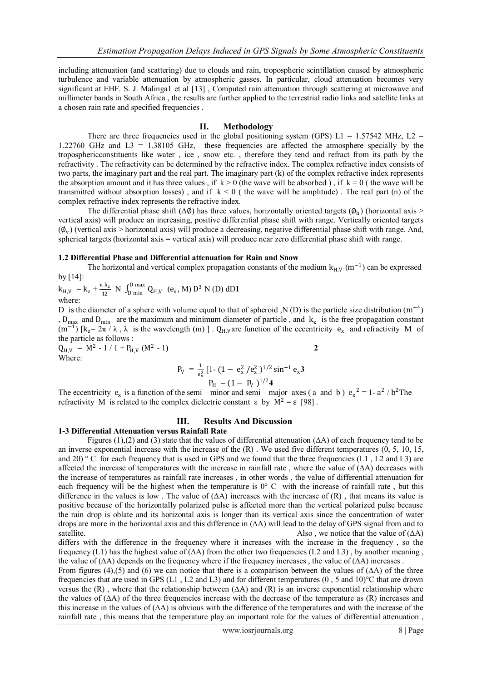including attenuation (and scattering) due to clouds and rain, tropospheric scintillation caused by atmospheric turbulence and variable attenuation by atmospheric gasses. In particular, cloud attenuation becomes very significant at EHF. S. J. Malinga1 et al [13] , Computed rain attenuation through scattering at microwave and millimeter bands in South Africa , the results are further applied to the terrestrial radio links and satellite links at a chosen rain rate and specified frequencies .

### **II. Methodology**

There are three frequencies used in the global positioning system (GPS)  $L1 = 1.57542$  MHz,  $L2 =$ 1.22760 GHz and L3 = 1.38105 GHz, these frequencies are affected the atmosphere specially by the troposphericconstituents like water , ice , snow etc. , therefore they tend and refract from its path by the refractivity . The refractivity can be determined by the refractive index. The complex refractive index consists of two parts, the imaginary part and the real part. The imaginary part (k) of the complex refractive index represents the absorption amount and it has three values , if  $k > 0$  (the wave will be absorbed), if  $k = 0$  (the wave will be transmitted without absorption losses), and if  $k < 0$  ( the wave will be amplitude). The real part (n) of the complex refractive index represents the refractive index.

The differential phase shift ( $\Delta\phi$ ) has three values, horizontally oriented targets ( $\phi_h$ ) (horizontal axis > vertical axis) will produce an increasing, positive differential phase shift with range. Vertically oriented targets  $(\varnothing_{\nu})$  (vertical axis > horizontal axis) will produce a decreasing, negative differential phase shift with range. And, spherical targets (horizontal axis = vertical axis) will produce near zero differential phase shift with range.

#### **1.2 Differential Phase and Differential attenuation for Rain and Snow**

The horizontal and vertical complex propagation constants of the medium  $k_{H,V}$  (m<sup>-1</sup>) can be expressed by [14]:

 $k_{H,V}$  =  $k_{z}$  +  $\frac{\pi k_{z}}{12}$  $\frac{1 \text{ k}_z}{12}$  N  $\int_D^D \frac{\text{max}}{\text{min}} Q_{H,V}$   $(e_x, M) D^3 N(D) dD1$ where:

D is the diameter of a sphere with volume equal to that of spheroid ,N (D) is the particle size distribution  $(m^{-4})$ ,  $D_{max}$  and  $D_{min}$  are the maximum and minimum diameter of particle, and  $k_z$  is the free propagation constant  $(m^{-1})$  [k<sub>z</sub> =  $2\pi / \lambda$ ,  $\lambda$  is the wavelength (m) ]. Q<sub>H,V</sub> are function of the eccentricity e<sub>x</sub> and refractivity M of the particle as follows :

 $Q_{H,V}$  = M<sup>2</sup> - 1 / 1 + P<sub>H,V</sub> (M<sup>2</sup> - 1**) 2** Where:

$$
P_V = \frac{1}{e_x^2} \left[ 1 - (1 - e_x^2 / e_x^2)^{1/2} \sin^{-1} e_x \mathbf{3} \right]
$$
  
 
$$
P_H = (1 - P_V)^{1/2} \mathbf{4}
$$

The eccentricity  $e_x$  is a function of the semi – minor and semi – major axes (a and b)  $e_x^2 = 1 - a^2/b^2$ The refractivity M is related to the complex dielectric constant ε by  $M^2 = \varepsilon$  [98].

#### **III. Results And Discussion**

#### **1-3 Differential Attenuation versus Rainfall Rate**

Figures (1),(2) and (3) state that the values of differential attenuation (∆A) of each frequency tend to be an inverse exponential increase with the increase of the  $(R)$ . We used five different temperatures  $(0, 5, 10, 15, ...)$ and 20) ° C for each frequency that is used in GPS and we found that the three frequencies (L1, L2 and L3) are affected the increase of temperatures with the increase in rainfall rate, where the value of  $(∆A)$  decreases with the increase of temperatures as rainfall rate increases , in other words , the value of differential attenuation for each frequency will be the highest when the temperature is 0° C with the increase of rainfall rate , but this difference in the values is low. The value of  $(∆A)$  increases with the increase of  $(R)$ , that means its value is positive because of the horizontally polarized pulse is affected more than the vertical polarized pulse because the rain drop is oblate and its horizontal axis is longer than its vertical axis since the concentration of water drops are more in the horizontal axis and this difference in (∆A) will lead to the delay of GPS signal from and to satellite. Also, we notice that the value of  $(\Delta A)$ 

differs with the difference in the frequency where it increases with the increase in the frequency , so the frequency (L1) has the highest value of  $(∆A)$  from the other two frequencies (L2 and L3), by another meaning, the value of  $(\Delta A)$  depends on the frequency where if the frequency increases, the value of  $(\Delta A)$  increases.

From figures (4),(5) and (6) we can notice that there is a comparison between the values of  $(∆A)$  of the three frequencies that are used in GPS (L1, L2 and L3) and for different temperatures (0, 5 and 10) $^{\circ}$ C that are drown versus the  $(R)$ , where that the relationship between  $(∆A)$  and  $(R)$  is an inverse exponential relationship where the values of (∆A) of the three frequencies increase with the decrease of the temperature as (R) increases and this increase in the values of (∆A) is obvious with the difference of the temperatures and with the increase of the rainfall rate , this means that the temperature play an important role for the values of differential attenuation ,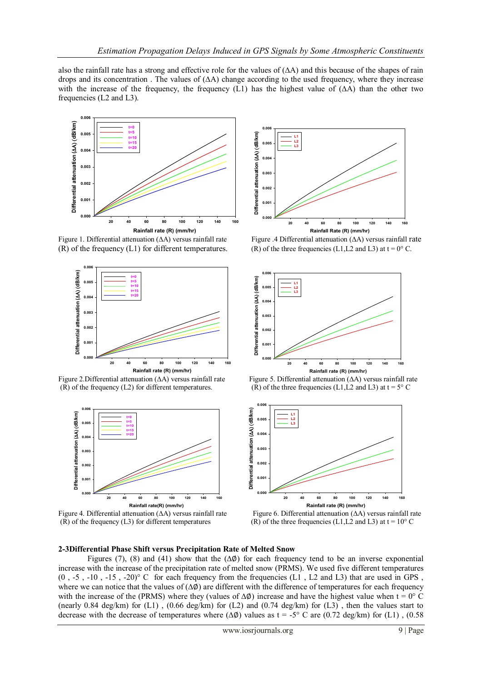also the rainfall rate has a strong and effective role for the values of (∆A) and this because of the shapes of rain drops and its concentration . The values of (∆A) change according to the used frequency, where they increase with the increase of the frequency, the frequency (L1) has the highest value of  $(∆A)$  than the other two frequencies (L2 and L3).



Figure 1. Differential attenuation (∆A) versus rainfall rate Figure .4 Differential attenuation (∆A) versus rainfall rate (R) of the frequency (L1) for different temperatures. (R) of the three frequencies (L1,L2 and L3) at  $t = 0^\circ$  C.



(R) of the frequency (L2) for different temperatures. (R) of the three frequencies (L1,L2 and L3) at t = 5° C



Figure 4. Differential attenuation (∆A) versus rainfall rate Figure 6. Differential attenuation (∆A) versus rainfall rate (R) of the frequency (L3) for different temperatures (R) of the three frequencies (L1,L2 and L3) at t = 10° C





Figure 2.Differential attenuation (∆A) versus rainfall rate Figure 5. Differential attenuation (∆A) versus rainfall rate



#### **2-3Differential Phase Shift versus Precipitation Rate of Melted Snow**

Figures (7), (8) and (41) show that the  $(\Delta \phi)$  for each frequency tend to be an inverse exponential increase with the increase of the precipitation rate of melted snow (PRMS). We used five different temperatures  $(0, -5, -10, -15, -20)$ ° C for each frequency from the frequencies (L1, L2 and L3) that are used in GPS, where we can notice that the values of  $(\Delta \emptyset)$  are different with the difference of temperatures for each frequency with the increase of the (PRMS) where they (values of  $\Delta\phi$ ) increase and have the highest value when t = 0° C (nearly 0.84 deg/km) for  $(L1)$ ,  $(0.66 \text{ deg/km})$  for  $(L2)$  and  $(0.74 \text{ deg/km})$  for  $(L3)$ , then the values start to decrease with the decrease of temperatures where  $(\Delta \phi)$  values as t = -5° C are  $(0.72 \text{ deg/km})$  for (L1),  $(0.58 \text{ m})$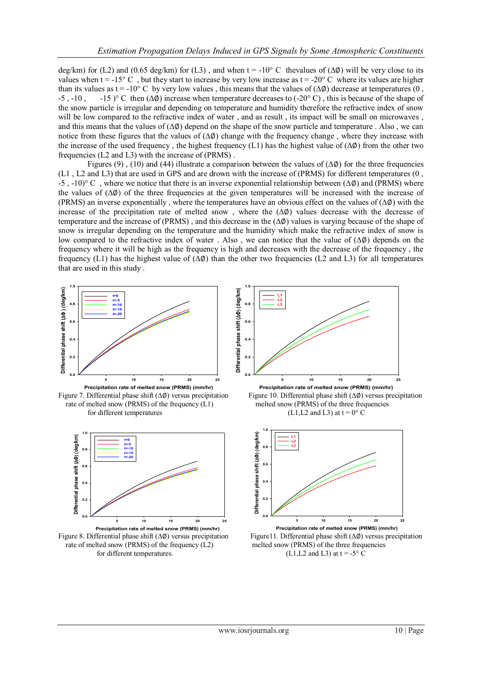deg/km) for (L2) and (0.65 deg/km) for (L3), and when t = -10° C thevalues of ( $\Delta\phi$ ) will be very close to its values when  $t = -15^{\circ}$  C, but they start to increase by very low increase as  $t = -20^{\circ}$  C where its values are higher than its values as t = -10° C by very low values, this means that the values of  $(\Delta \emptyset)$  decrease at temperatures (0, -5 , -10 , -15 )° C then (∆∅) increase when temperature decreases to (-20° C) , this is because of the shape of the snow particle is irregular and depending on temperature and humidity therefore the refractive index of snow will be low compared to the refractive index of water, and as result, its impact will be small on microwaves, and this means that the values of (∆∅) depend on the shape of the snow particle and temperature . Also , we can notice from these figures that the values of (∆∅) change with the frequency change , where they increase with the increase of the used frequency, the highest frequency (L1) has the highest value of  $(\Delta \emptyset)$  from the other two frequencies (L2 and L3) with the increase of (PRMS) .

Figures (9), (10) and (44) illustrate a comparison between the values of  $(\Delta \phi)$  for the three frequencies (L1 , L2 and L3) that are used in GPS and are drown with the increase of (PRMS) for different temperatures (0 , -5 , -10)° C , where we notice that there is an inverse exponential relationship between (∆∅) and (PRMS) where the values of (ΔØ) of the three frequencies at the given temperatures will be increased with the increase of (PRMS) an inverse exponentially , where the temperatures have an obvious effect on the values of (∆∅) with the increase of the precipitation rate of melted snow , where the (∆∅) values decrease with the decrease of temperature and the increase of (PRMS) , and this decrease in the (∆∅) values is varying because of the shape of snow is irregular depending on the temperature and the humidity which make the refractive index of snow is low compared to the refractive index of water . Also , we can notice that the value of (∆∅) depends on the frequency where it will be high as the frequency is high and decreases with the decrease of the frequency , the frequency (L1) has the highest value of  $(\Delta \phi)$  than the other two frequencies (L2 and L3) for all temperatures that are used in this study .

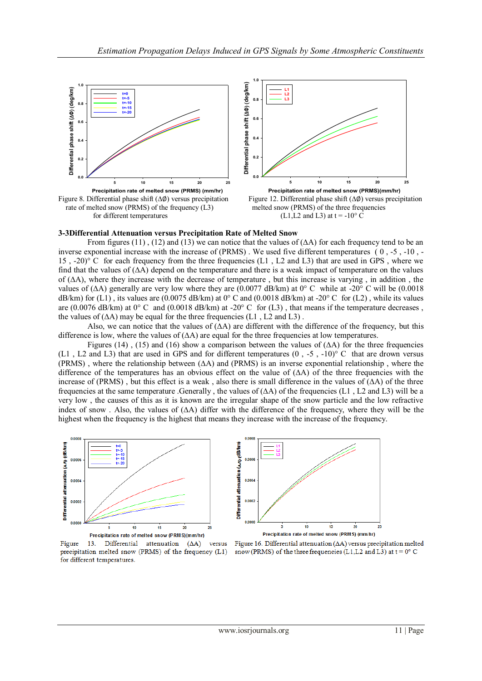

# **3-3Differential Attenuation versus Precipitation Rate of Melted Snow**

From figures (11), (12) and (13) we can notice that the values of  $(∆A)$  for each frequency tend to be an inverse exponential increase with the increase of  $(PRMS)$ . We used five different temperatures  $(0, -5, -10, -5)$ 15 , -20)° C for each frequency from the three frequencies (L1 , L2 and L3) that are used in GPS , where we find that the values of (∆A) depend on the temperature and there is a weak impact of temperature on the values of (∆A), where they increase with the decrease of temperature , but this increase is varying , in addition , the values of (∆A) generally are very low where they are (0.0077 dB/km) at 0° C while at -20° C will be (0.0018 dB/km) for (L1), its values are (0.0075 dB/km) at  $0^{\circ}$ C and (0.0018 dB/km) at -20 $^{\circ}$ C for (L2), while its values are (0.0076 dB/km) at  $0^{\circ}$  C and (0.0018 dB/km) at -20 $^{\circ}$  C for (L3), that means if the temperature decreases, the values of  $(∆A)$  may be equal for the three frequencies (L1, L2 and L3).

Also, we can notice that the values of  $(∆A)$  are different with the difference of the frequency, but this difference is low, where the values of  $(∆A)$  are equal for the three frequencies at low temperatures.

Figures (14), (15) and (16) show a comparison between the values of  $( \Delta A)$  for the three frequencies (L1, L2 and L3) that are used in GPS and for different temperatures  $(0, -5, -10)$ ° C that are drown versus (PRMS) , where the relationship between (∆A) and (PRMS) is an inverse exponential relationship , where the difference of the temperatures has an obvious effect on the value of (∆A) of the three frequencies with the increase of (PRMS) , but this effect is a weak , also there is small difference in the values of (∆A) of the three frequencies at the same temperature .Generally , the values of  $(∆A)$  of the frequencies  $(L1, L2$  and  $L3)$  will be a very low , the causes of this as it is known are the irregular shape of the snow particle and the low refractive index of snow . Also, the values of (∆A) differ with the difference of the frequency, where they will be the highest when the frequency is the highest that means they increase with the increase of the frequency.



Differential attenuation (AA) (dB/km) 0.000  $0.0004$  $0.0002$ 15  $\overline{2}$ Precipitation rate of melted snow (PRMS) (mm/hr)

13. Differential attenuation Figure  $(AA)$ versus precipitation melted snow (PRMS) of the frequency (L1) for different temperatures.

Figure 16. Differential attenuation  $(\Delta A)$  versus precipitation melted snow (PRMS) of the three frequencies (L1,L2 and L3) at  $t = 0$ °C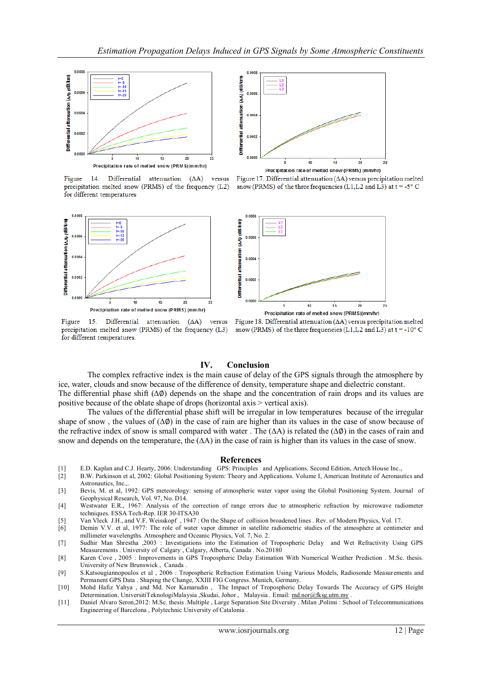

Figure 14. Differential attenuation  $(AA)$ versus precipitation melted snow (PRMS) of the frequency (L2) for different temperatures





Precipitation rate of melted snow (PRMS) (mm/hr)





 $(\Delta A)$ versus

Figure 15. Differential attenuation precipitation melted snow (PRMS) of the frequency (L3) for different temperatures.



# **IV. Conclusion**

The complex refractive index is the main cause of delay of the GPS signals through the atmosphere by ice, water, clouds and snow because of the difference of density, temperature shape and dielectric constant. The differential phase shift (∆∅) depends on the shape and the concentration of rain drops and its values are positive because of the oblate shape of drops (horizontal axis > vertical axis).

The values of the differential phase shift will be irregular in low temperatures because of the irregular shape of snow, the values of  $(\Delta \emptyset)$  in the case of rain are higher than its values in the case of snow because of the refractive index of snow is small compared with water . The (∆A) is related the (∆∅) in the cases of rain and snow and depends on the temperature, the ( $\Delta A$ ) in the case of rain is higher than its values in the case of snow.

#### **References**

- [1] E.D. Kaplan and C.J. Hearty, 2006: Understanding GPS: Principles and Applications. Second Edition, Artech House Inc.,
- [2] B.W. Parkinson et al, 2002: Global Positioning System: Theory and Applications. Volume I, American Institute of Aeronautics and Astronautics, Inc.,
- [3] Bevis, M. et al, 1992: GPS meteorology: sensing of atmospheric water vapor using the Global Positioning System. Journal of Geophysical Research, Vol. 97, No. D14.
- [4] Westwater E.R., 1967: Analysis of the correction of range errors due to atmospheric refraction by microwave radiometer techniques. ESSA Tech-Rep. IER 30-ITSA30
- [5] Van Vleck J.H., and V.F. Weisskopf , 1947 : On the Shape of collision broadened lines . Rev. of Modern Physics, Vol. 17.
- [6] Demin V.V. et al, 1977: The role of water vapor dimmer in satellite radiometric studies of the atmosphere at centimeter and millimeter wavelengths. Atmosphere and Oceanic Physics, Vol. 7, No. 2.
- [7] Sudhir Man Shrestha ,2003 : Investigations into the Estimation of Tropospheric Delay and Wet Refractivity Using GPS Measurements . University of Calgary , Calgary, Alberta, Canada . No.20180
- [8] Karen Cove , 2005 : Improvements in GPS Tropospheric Delay Estimation With Numerical Weather Prediction . M.Sc. thesis. University of New Brunswick , Canada .
- [9] S.Katsougiannopoulos et al , 2006 : Tropospheric Refraction Estimation Using Various Models, Radiosonde Measurements and Permanent GPS Data . Shaping the Change, XXIII FIG Congress. Munich, Germany.
- [10] Mohd Hafiz Yahya , and Md. Nor Kamarudin , The Impact of Tropospheric Delay Towards The Accuracy of GPS Height Determination. UniversitiTeknologiMalaysia ,Skudai, Johor , Malaysia . Email: [md.nor@fksg.utm.my](mailto:md.nor@fksg.utm.my) .
- [11] Daniel Alvaro Seron,2012: M.Sc. thesis .Multiple , Large Separation Site Diversity . Milan ,Polimi : School of Telecommunications Engineering of Barcelona , Polytechnic University of Catalonia .